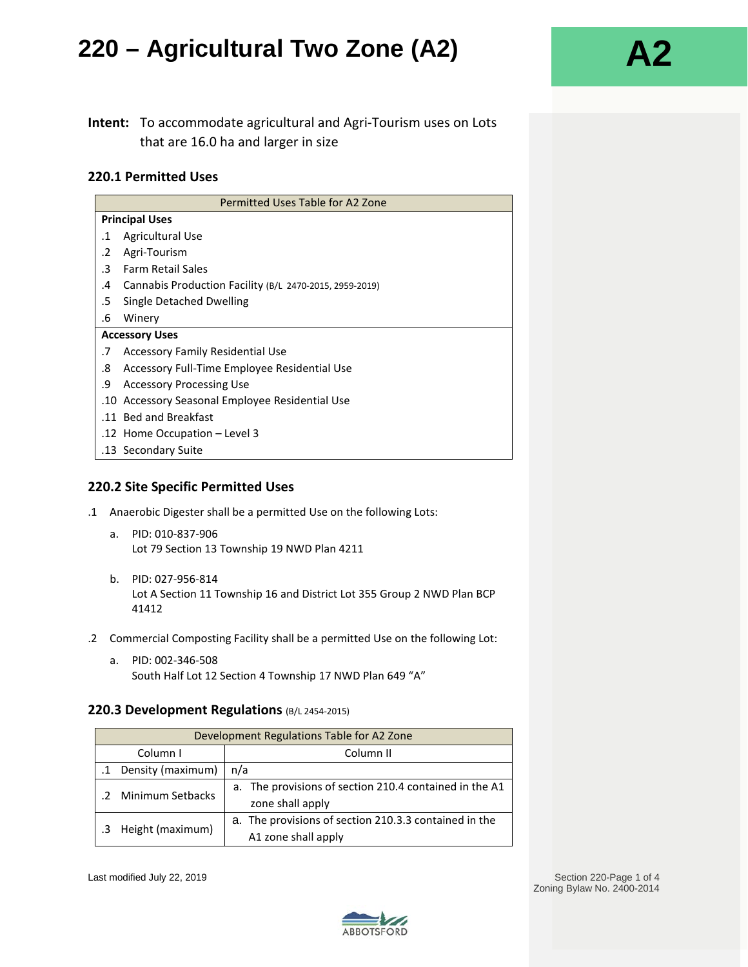### **Intent:** To accommodate agricultural and Agri-Tourism uses on Lots that are 16.0 ha and larger in size

#### **220.1 Permitted Uses**

| Permitted Uses Table for A2 Zone |                                                         |  |  |
|----------------------------------|---------------------------------------------------------|--|--|
| <b>Principal Uses</b>            |                                                         |  |  |
| .1                               | <b>Agricultural Use</b>                                 |  |  |
| .2                               | Agri-Tourism                                            |  |  |
| $\cdot$ 3                        | <b>Farm Retail Sales</b>                                |  |  |
| .4                               | Cannabis Production Facility (B/L 2470-2015, 2959-2019) |  |  |
| .5                               | Single Detached Dwelling                                |  |  |
| .6                               | Winery                                                  |  |  |
| <b>Accessory Uses</b>            |                                                         |  |  |
| .7                               | <b>Accessory Family Residential Use</b>                 |  |  |
| .8                               | Accessory Full-Time Employee Residential Use            |  |  |
| .9                               | <b>Accessory Processing Use</b>                         |  |  |
|                                  | .10 Accessory Seasonal Employee Residential Use         |  |  |
|                                  | .11 Bed and Breakfast                                   |  |  |
|                                  | .12 Home Occupation - Level 3                           |  |  |
|                                  | .13 Secondary Suite                                     |  |  |
|                                  |                                                         |  |  |

#### **220.2 Site Specific Permitted Uses**

- .1 Anaerobic Digester shall be a permitted Use on the following Lots:
	- a. PID: 010-837-906 Lot 79 Section 13 Township 19 NWD Plan 4211
	- b. PID: 027-956-814 Lot A Section 11 Township 16 and District Lot 355 Group 2 NWD Plan BCP 41412
- .2 Commercial Composting Facility shall be a permitted Use on the following Lot:
	- a. PID: 002-346-508 South Half Lot 12 Section 4 Township 17 NWD Plan 649 "A"

#### **220.3 Development Regulations** (B/L 2454-2015)

| Development Regulations Table for A2 Zone |                                                                              |  |  |
|-------------------------------------------|------------------------------------------------------------------------------|--|--|
| Column I                                  | Column II                                                                    |  |  |
| Density (maximum)<br>$\cdot$ 1            | n/a                                                                          |  |  |
| .2 Minimum Setbacks                       | a. The provisions of section 210.4 contained in the A1<br>zone shall apply   |  |  |
| Height (maximum)                          | a. The provisions of section 210.3.3 contained in the<br>A1 zone shall apply |  |  |

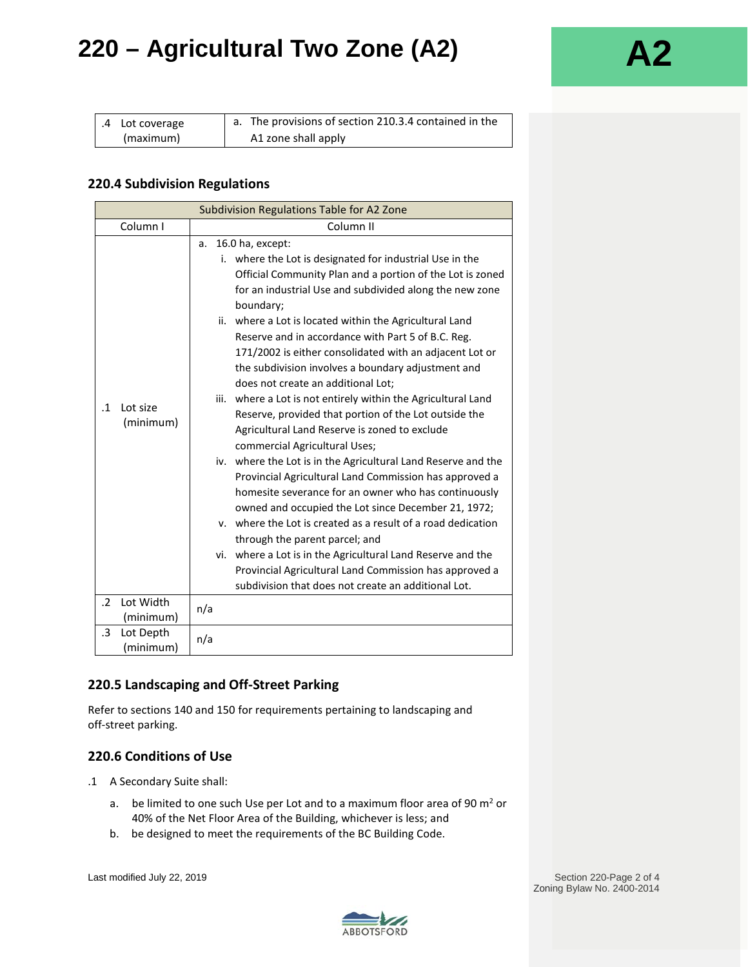| $\vert$ .4 Lot coverage | a. The provisions of section 210.3.4 contained in the |
|-------------------------|-------------------------------------------------------|
| (maximum)               | A1 zone shall apply                                   |

### **220.4 Subdivision Regulations**

| Subdivision Regulations Table for A2 Zone |                                                                                                                                                                                                                                                                                                                                                                                                                                                                                                                                                                                                                                                                                                                                                                                                                                                                                                                                                                                                                                                                                                                                                                                                                                         |  |  |  |
|-------------------------------------------|-----------------------------------------------------------------------------------------------------------------------------------------------------------------------------------------------------------------------------------------------------------------------------------------------------------------------------------------------------------------------------------------------------------------------------------------------------------------------------------------------------------------------------------------------------------------------------------------------------------------------------------------------------------------------------------------------------------------------------------------------------------------------------------------------------------------------------------------------------------------------------------------------------------------------------------------------------------------------------------------------------------------------------------------------------------------------------------------------------------------------------------------------------------------------------------------------------------------------------------------|--|--|--|
| Column I                                  | Column <sub>II</sub>                                                                                                                                                                                                                                                                                                                                                                                                                                                                                                                                                                                                                                                                                                                                                                                                                                                                                                                                                                                                                                                                                                                                                                                                                    |  |  |  |
| Lot size<br>$\cdot$ 1<br>(minimum)        | 16.0 ha, except:<br>a.<br>i. where the Lot is designated for industrial Use in the<br>Official Community Plan and a portion of the Lot is zoned<br>for an industrial Use and subdivided along the new zone<br>boundary;<br>ii. where a Lot is located within the Agricultural Land<br>Reserve and in accordance with Part 5 of B.C. Reg.<br>171/2002 is either consolidated with an adjacent Lot or<br>the subdivision involves a boundary adjustment and<br>does not create an additional Lot:<br>iii. where a Lot is not entirely within the Agricultural Land<br>Reserve, provided that portion of the Lot outside the<br>Agricultural Land Reserve is zoned to exclude<br>commercial Agricultural Uses;<br>iv. where the Lot is in the Agricultural Land Reserve and the<br>Provincial Agricultural Land Commission has approved a<br>homesite severance for an owner who has continuously<br>owned and occupied the Lot since December 21, 1972;<br>y. where the Lot is created as a result of a road dedication<br>through the parent parcel; and<br>vi. where a Lot is in the Agricultural Land Reserve and the<br>Provincial Agricultural Land Commission has approved a<br>subdivision that does not create an additional Lot. |  |  |  |
| Lot Width<br>$\cdot$                      | n/a                                                                                                                                                                                                                                                                                                                                                                                                                                                                                                                                                                                                                                                                                                                                                                                                                                                                                                                                                                                                                                                                                                                                                                                                                                     |  |  |  |
| (minimum)<br>.3                           |                                                                                                                                                                                                                                                                                                                                                                                                                                                                                                                                                                                                                                                                                                                                                                                                                                                                                                                                                                                                                                                                                                                                                                                                                                         |  |  |  |
| Lot Depth<br>(minimum)                    | n/a                                                                                                                                                                                                                                                                                                                                                                                                                                                                                                                                                                                                                                                                                                                                                                                                                                                                                                                                                                                                                                                                                                                                                                                                                                     |  |  |  |

### **220.5 Landscaping and Off-Street Parking**

Refer to sections 140 and 150 for requirements pertaining to landscaping and off-street parking.

### **220.6 Conditions of Use**

- .1 A Secondary Suite shall:
	- a. be limited to one such Use per Lot and to a maximum floor area of 90  $m<sup>2</sup>$  or 40% of the Net Floor Area of the Building, whichever is less; and
	- b. be designed to meet the requirements of the BC Building Code.

Last modified July 22, 2019 **Section 220-Page 2 of 4** Section 220-Page 2 of 4 Zoning Bylaw No. 2400-2014

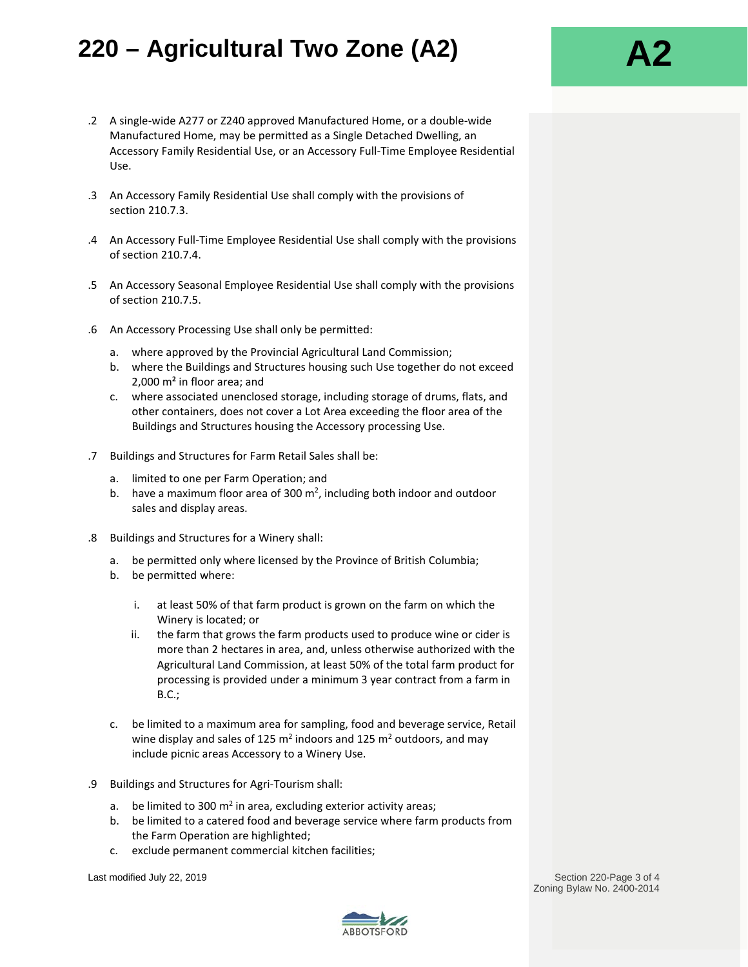- .2 A single-wide A277 or Z240 approved Manufactured Home, or a double-wide Manufactured Home, may be permitted as a Single Detached Dwelling, an Accessory Family Residential Use, or an Accessory Full-Time Employee Residential Use.
- .3 An Accessory Family Residential Use shall comply with the provisions of section 210.7.3.
- .4 An Accessory Full-Time Employee Residential Use shall comply with the provisions of section 210.7.4.
- .5 An Accessory Seasonal Employee Residential Use shall comply with the provisions of section 210.7.5.
- .6 An Accessory Processing Use shall only be permitted:
	- a. where approved by the Provincial Agricultural Land Commission;
	- b. where the Buildings and Structures housing such Use together do not exceed 2,000 m² in floor area; and
	- c. where associated unenclosed storage, including storage of drums, flats, and other containers, does not cover a Lot Area exceeding the floor area of the Buildings and Structures housing the Accessory processing Use.
- .7 Buildings and Structures for Farm Retail Sales shall be:
	- a. limited to one per Farm Operation; and
	- b. have a maximum floor area of 300  $m^2$ , including both indoor and outdoor sales and display areas.
- .8 Buildings and Structures for a Winery shall:
	- a. be permitted only where licensed by the Province of British Columbia;
	- b. be permitted where:
		- i. at least 50% of that farm product is grown on the farm on which the Winery is located; or
		- ii. the farm that grows the farm products used to produce wine or cider is more than 2 hectares in area, and, unless otherwise authorized with the Agricultural Land Commission, at least 50% of the total farm product for processing is provided under a minimum 3 year contract from a farm in B.C.;
	- c. be limited to a maximum area for sampling, food and beverage service, Retail wine display and sales of 125  $m<sup>2</sup>$  indoors and 125  $m<sup>2</sup>$  outdoors, and may include picnic areas Accessory to a Winery Use.
- .9 Buildings and Structures for Agri-Tourism shall:
	- a. be limited to 300  $m^2$  in area, excluding exterior activity areas;
	- b. be limited to a catered food and beverage service where farm products from the Farm Operation are highlighted;
	- c. exclude permanent commercial kitchen facilities;